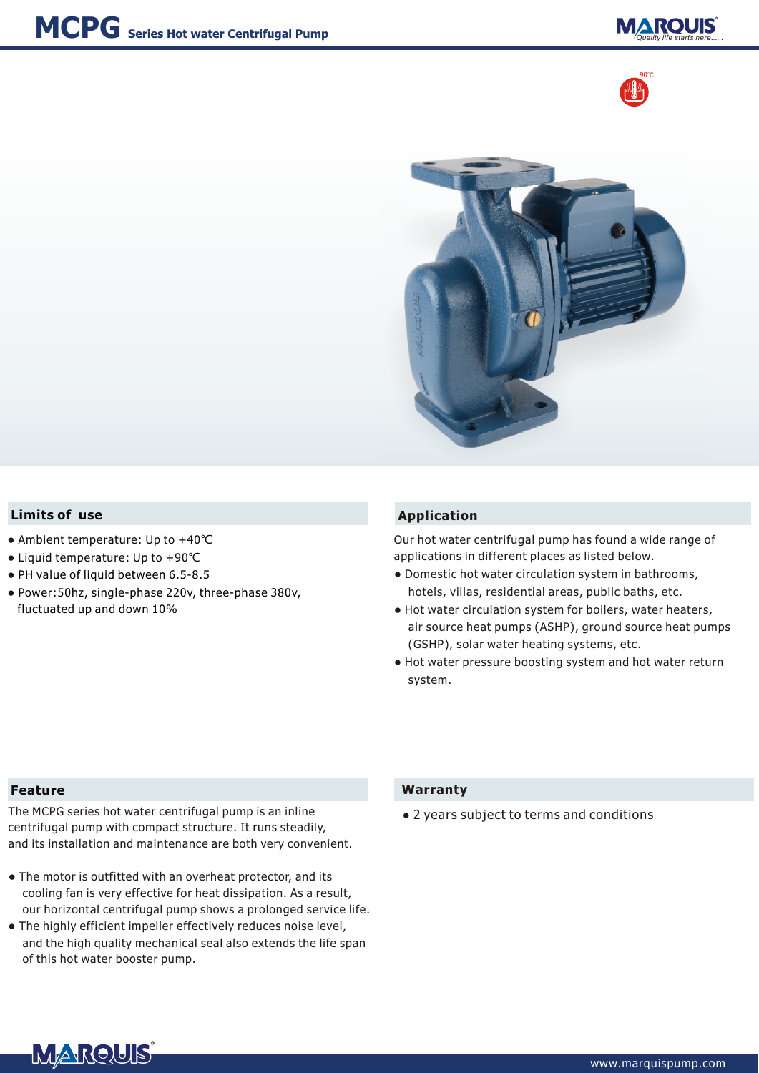





## **Limits of use Application**

- Ambient temperature: Up to +40℃
- Liquid temperature: Up to +90℃
- PH value of liquid between 6.5-8.5
- Power:50hz, single-phase 220v, three-phase 380v, fluctuated up and down 10%

Our hot water centrifugal pump has found a wide range of applications in different places as listed below.

- Domestic hot water circulation system in bathrooms, hotels, villas, residential areas, public baths, etc.
- Hot water circulation system for boilers, water heaters, air source heat pumps (ASHP), ground source heat pumps (GSHP), solar water heating systems, etc.
- Hot water pressure boosting system and hot water return system.

## **Feature**

The MCPG series hot water centrifugal pump is an inline centrifugal pump with compact structure. It runs steadily, and its installation and maintenance are both very convenient.

- The motor is outfitted with an overheat protector, and its cooling fan is very effective for heat dissipation. As a result, our horizontal centrifugal pump shows a prolonged service life.
- The highly efficient impeller effectively reduces noise level, and the high quality mechanical seal also extends the life span of this hot water booster pump.

## **Warranty**

● 2 years subject to terms and conditions

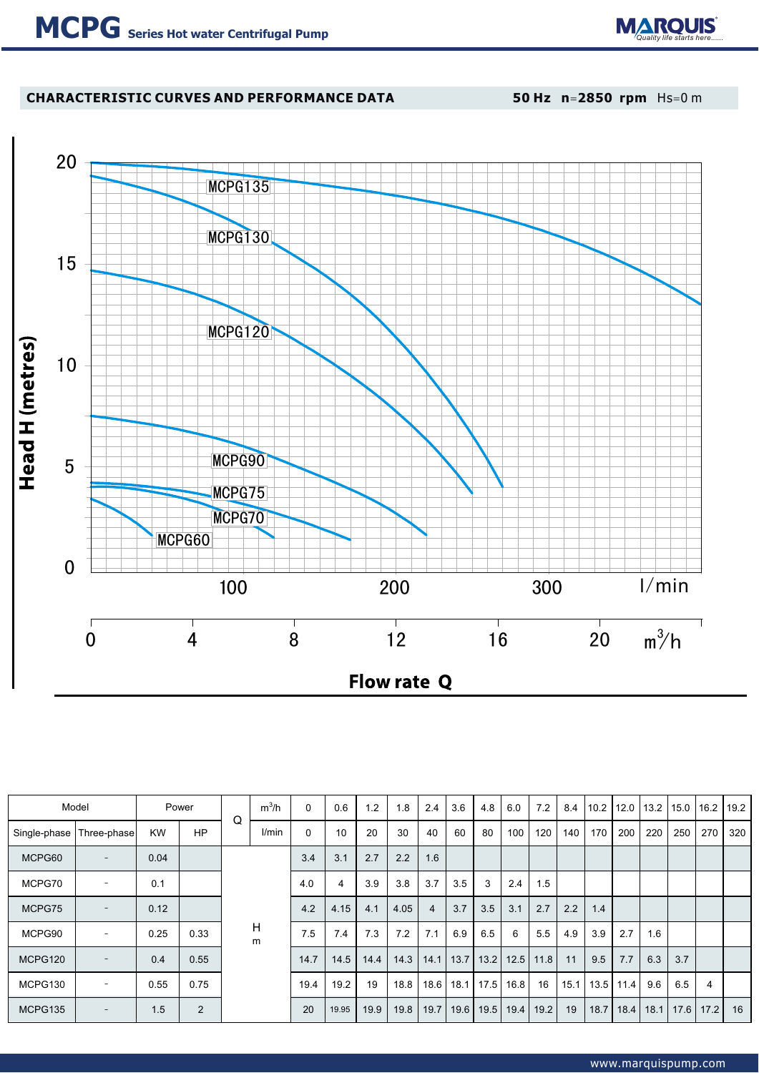

# **CHARACTERISTIC CURVES AND PERFORMANCE DATA 50 Hz n**=**2850 rpm** Hs=0 m



| Model        |                          |           | Power<br>Q |        | $m^3/h$ | $\mathbf{0}$ | 0.6   | 1.2  | 1.8  | 2.4  | 3.6  | 4.8  | 6.0  | 7.2  | 8.4 |               | 10.2 12.0 13.2 |      | 15.0 16.2 |               | 19.2 |
|--------------|--------------------------|-----------|------------|--------|---------|--------------|-------|------|------|------|------|------|------|------|-----|---------------|----------------|------|-----------|---------------|------|
| Single-phase | Three-phase              | <b>KW</b> | <b>HP</b>  |        | l/min   | $\mathbf 0$  | 10    | 20   | 30   | 40   | 60   | 80   | 100  | 120  | 140 | 170           | 200            | 220  | 250       | 270           | 320  |
| MCPG60       |                          | 0.04      |            | н<br>m |         | 3.4          | 3.1   | 2.7  | 2.2  | 1.6  |      |      |      |      |     |               |                |      |           |               |      |
| MCPG70       | $\overline{\phantom{a}}$ | 0.1       |            |        | 4.0     | 4            | 3.9   | 3.8  | 3.7  | 3.5  | 3    | 2.4  | 1.5  |      |     |               |                |      |           |               |      |
| MCPG75       |                          | 0.12      |            |        | 4.2     | 4.15         | 4.1   | 4.05 | 4    | 3.7  | 3.5  | 3.1  | 2.7  | 2.2  | 1.4 |               |                |      |           |               |      |
| MCPG90       | $\overline{\phantom{a}}$ | 0.25      | 0.33       |        | 7.5     | 7.4          | 7.3   | 7.2  | 7.1  | 6.9  | 6.5  | 6    | 5.5  | 4.9  | 3.9 | 2.7           | 1.6            |      |           |               |      |
| MCPG120      | $\overline{\phantom{a}}$ | 0.4       | 0.55       |        | 14.7    | 14.5         | 14.4  | 14.3 | 14.1 | 13.7 | 13.2 | 12.5 | 11.8 | 11   | 9.5 | 7.7           | 6.3            | 3.7  |           |               |      |
| MCPG130      |                          | 0.55      | 0.75       |        | 19.4    | 19.2         | 19    | 18.8 | 18.6 | 18.1 | 17.5 | 16.8 | 16   | 15.1 |     | $13.5$   11.4 | 9.6            | 6.5  | 4         |               |      |
| MCPG135      | $\qquad \qquad$          | 1.5       | 2          |        |         |              | 19.95 | 19.9 | 19.8 | 19.7 | 19.6 | 19.5 | 19.4 | 19.2 | 19  | 18.7          | 18.4           | 18.1 |           | $17.6$   17.2 | 16   |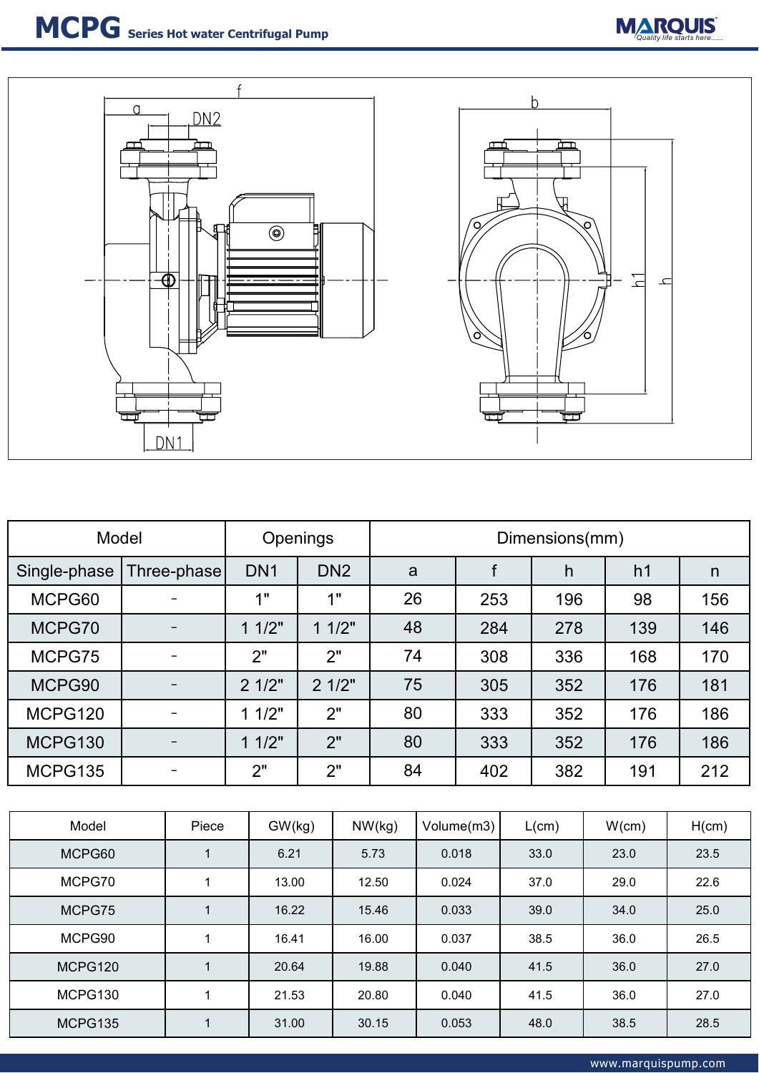



| Model        |             | Openings        | Dimensions(mm)  |    |     |     |                |     |  |  |
|--------------|-------------|-----------------|-----------------|----|-----|-----|----------------|-----|--|--|
| Single-phase | Three-phase | DN <sub>1</sub> | DN <sub>2</sub> | a  |     | h   | h <sub>1</sub> | n   |  |  |
| MCPG60       |             | 1"              | 1"              | 26 | 253 | 196 | 98             | 156 |  |  |
| MCPG70       |             | 11/2"           | 11/2"           | 48 | 284 | 278 | 139            | 146 |  |  |
| MCPG75       |             | 2"              | 2"              | 74 | 308 | 336 | 168            | 170 |  |  |
| MCPG90       |             | 21/2"           | 21/2"           | 75 | 305 | 352 | 176            | 181 |  |  |
| MCPG120      |             | 11/2"           | 2"              | 80 | 333 | 352 | 176            | 186 |  |  |
| MCPG130      |             | 11/2"           | 2"              | 80 | 333 | 352 | 176            | 186 |  |  |
| MCPG135      |             | 2"              | 2"              | 84 | 402 | 382 | 191            | 212 |  |  |

| Model   | Piece | GW(kg) | NW(kg) | Volume(m3) | L(cm) | W(cm) | H(cm) |
|---------|-------|--------|--------|------------|-------|-------|-------|
| MCPG60  |       | 6.21   | 5.73   | 0.018      | 33.0  | 23.0  | 23.5  |
| MCPG70  |       | 13.00  | 12.50  | 0.024      | 37.0  | 29.0  | 22.6  |
| MCPG75  |       | 16.22  | 15.46  | 0.033      | 39.0  | 34.0  | 25.0  |
| MCPG90  |       | 16.41  | 16.00  | 0.037      | 38.5  | 36.0  | 26.5  |
| MCPG120 |       | 20.64  | 19.88  | 0.040      | 41.5  | 36.0  | 27.0  |
| MCPG130 |       | 21.53  | 20.80  | 0.040      | 41.5  | 36.0  | 27.0  |
| MCPG135 |       | 31.00  | 30.15  | 0.053      | 48.0  | 38.5  | 28.5  |